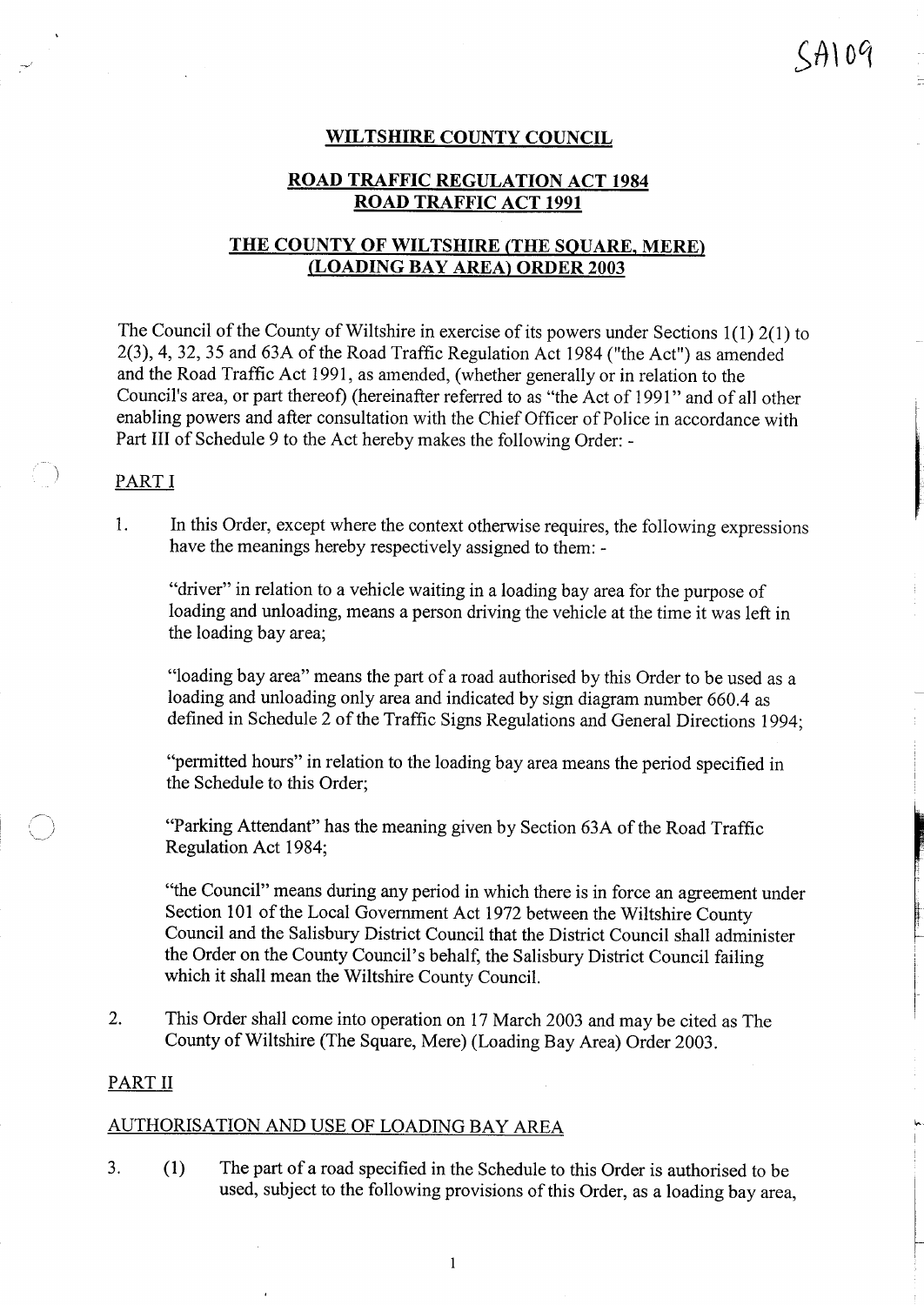#### WILTSHIRE COUNTY COUNCIL

## ROAD TRAFFIC REGULATION ACT <sup>1984</sup> ROAD TRAFFIC ACT <sup>1991</sup>

# THE COUNTY OF WILTSHIRE (THE SQUARE, MERE) (LOADING BAY AREA) ORDER <sup>2003</sup>

The Council of the County of Wiltshire in exercise of its powers under Sections 1(l) 2(1) to 2(3), 4, 32, 35 and 63A of the Road Traffic Regulation Act 1984 ("the Act") as amended and the Road Traffic Act 1991, as amended, (whether generally or in relation to the Council's area, or part thereof) (hereinafter referred to as "the Act of 1991" and of all other enabling powers and after consultation with the Chief Officer of Police in accordance with Part III of Schedule 9 to the Act hereby makes the following Order: -

#### PART <sup>I</sup>

<sup>l</sup> . In this Order, except where the context otherwise requires, the following expressions have the meanings hereby respectively assigned to them: -

"driver" in relation to a vehicle waiting in a loading bay area for the purpose of loading and unloading, means a person driving the vehicle at the time it was left in the loading bay area;

"loading bay area" means the part of a road authorised by this Order to be used as a loading and unloading only area and indicated by sign diagram number 660.4 as defined in Schedule 2 of the Traffic Signs Regulations and General Directions 1994;

"permitted hours" in relation to the loading bay area means the period specified in the Schedule to this Order;

"Parking Attendant" has the meaning given by Section 63A of the Road Traffic Regulation Act 1984;

"the Council" means during any period in which there is in force an agreement under Section 101 of the Local Government Act 1972 between the Wiltshire County Council and the Salisbury District Council that the District Council shall administer the Order on the County Council's behalf, the Salisbury District Council failing which it shall mean the Wiltshire County Council.

2. This Order shall come into operation on <sup>17</sup> March 2003 and may be cited as The County of Wiltshire (The Square, Mere) (Loading Bay Area) Order 2003.

#### PART II

#### AUTHORISATION AND USE OF LOADING BAY AREA

3. (1) The part of <sup>a</sup> road specified in the Schedule to this Order is authorised to be used, subject to the following provisions of this Order, as a loading bay area,

 $\mathbf{1}$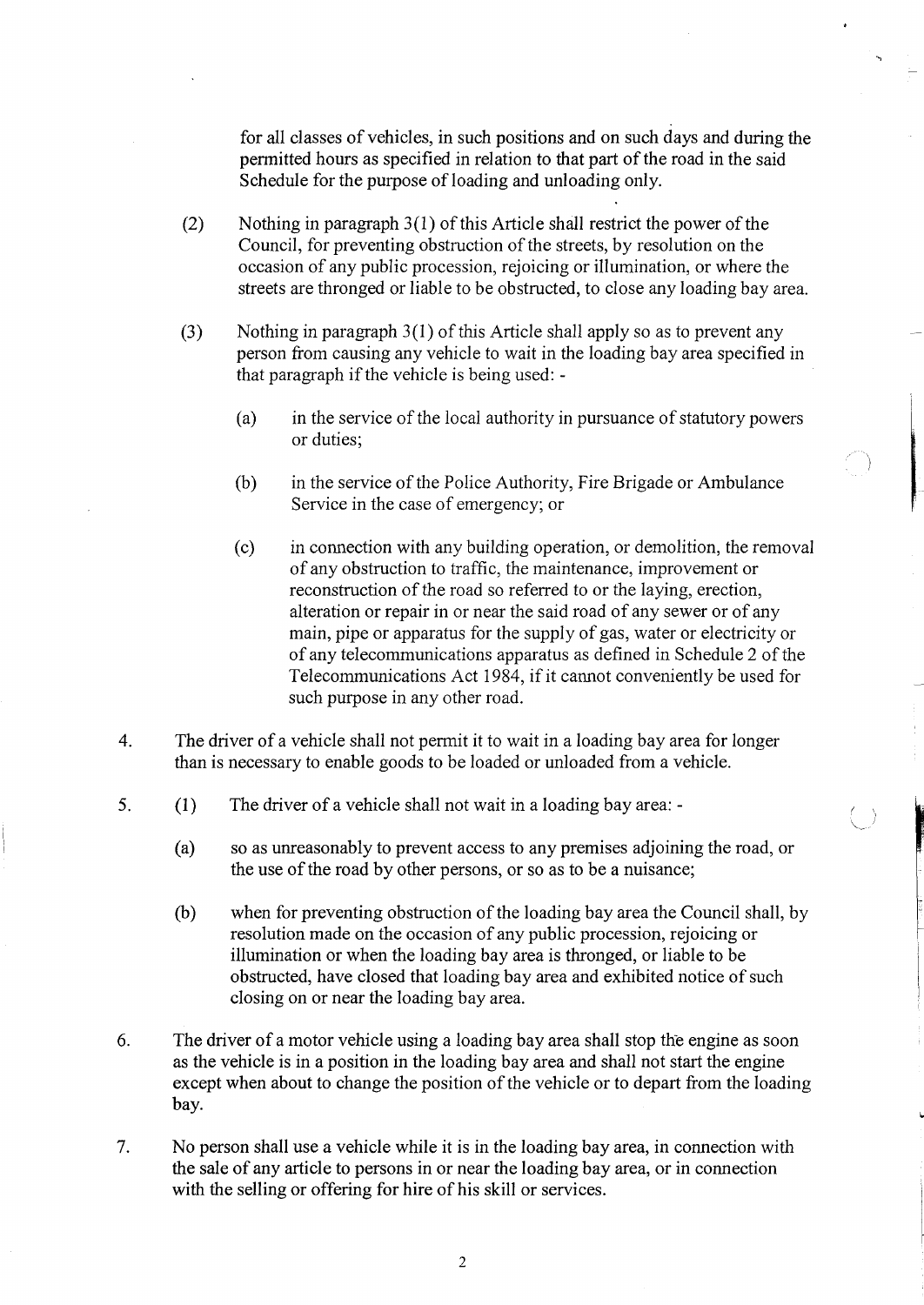for all classes of vehicles, in such positions and on such days and during the permitted hours as specified in relation to that part of the road in the said Schedule for the purpose of loading and unloading only.

- (2) Nothing in paragraph 3(1) of this Article shall restrict the power of the Council, for preventing obstruction of the streets, by resolution on the occasion of any public procession, rejoicing or illumination, or where the streets are thronged or liable to be obstructed, to close any loading bay area.
- $(3)$ Nothing in paragraph 3(1) of this Article shall apply so as to prevent any person from causing any vehicle to wait in the loading bay area specified in that paragraph if the vehicle is being used: -
	- (a) in the service of the local authority in pursuance of statutory powers or duties ;
	- (b) in the service of the Police Authority, Fire Brigade or Ambulance Service in the case of emergency; or
	- in connection with any building operation, or demolition, the removal  $(c)$ of any obstruction to traffic, the maintenance, improvement or reconstruction of the road so referred to or the laying, erection, alteration or repair in or near the said road of any sewer or of any main, pipe or apparatus for the supply of gas, water or electricity or of any telecommunications apparatus as defined in Schedule 2 of the Telecommunications Act 1984, if it cannot conveniently be used for such purpose in any other road.
- 4. The driver of a vehicle shall not permit it to wait in a loading bay area for longer than is necessary to enable goods to be loaded or unloaded from a vehicle.
- 5. (1) The driver of a vehicle shall not wait in a loading bay area:
	- (a) so as unreasonably to prevent access to any premises adjoining the road, or the use of the road by other persons, or so as to be a nuisance;
	- (b) when for preventing obstruction of the loading bay area the Council shall, by resolution made on the occasion of any public procession, rejoicing or illumination or when the loading bay area is thronged, or liable to be obstructed, have closed that loading bay area and exhibited notice of such closing on or near the loading bay area.
- 6 . The driver of <sup>a</sup> motor vehicle using a loading bay area shall stop the engine as soon as the vehicle is in a position in the loading bay area and shall not start the engine except when about to change the position of the vehicle or to depart from the loading bay.
- 7. No person shall use <sup>a</sup> vehicle while it is in the loading bay area, in connection with the sale of any article to persons in or near the loading bay area, or in connection with the selling or offering for hire of his skill or services.